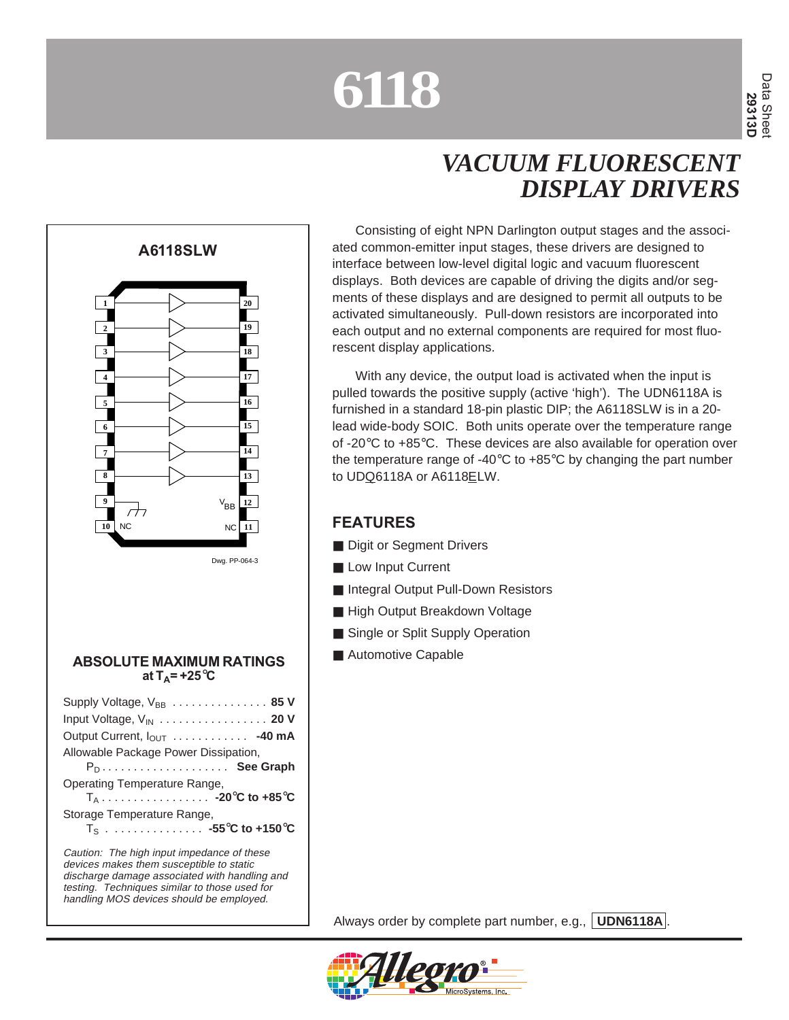

**A6118SLW 20 1 19 2 3 18 17 4 16 5 15 6 14 7 8 13 9** V BB **12**  $\overline{\mathcal{L}}$ **10** NC NC **11** Dwg. PP-064-3 **ABSOLUTE MAXIMUM RATINGS** at  $T_A$ = +25 $\degree$ C  $Sumbel (Volton)$  .  $\theta$ 

| $\sup$ bupply voltage, $v_{BB}$ 85 v    |
|-----------------------------------------|
| Input Voltage, $V_{IN}$ 20 V            |
| Output Current, $I_{\text{OUT}}$ -40 mA |
| Allowable Package Power Dissipation,    |
| $P_D$ See Graph                         |
| Operating Temperature Range,            |
|                                         |
| Storage Temperature Range,              |
|                                         |
|                                         |

Caution: The high input impedance of these devices makes them susceptible to static discharge damage associated with handling and testing. Techniques similar to those used for handling MOS devices should be employed.

Consisting of eight NPN Darlington output stages and the associated common-emitter input stages, these drivers are designed to interface between low-level digital logic and vacuum fluorescent displays. Both devices are capable of driving the digits and/or segments of these displays and are designed to permit all outputs to be activated simultaneously. Pull-down resistors are incorporated into each output and no external components are required for most fluorescent display applications.

With any device, the output load is activated when the input is pulled towards the positive supply (active 'high'). The UDN6118A is furnished in a standard 18-pin plastic DIP; the A6118SLW is in a 20 lead wide-body SOIC. Both units operate over the temperature range of -20°C to +85°C. These devices are also available for operation over the temperature range of -40°C to +85°C by changing the part number to UDQ6118A or A6118ELW.

#### **FEATURES**

- Digit or Segment Drivers
- Low Input Current
- Integral Output Pull-Down Resistors
- High Output Breakdown Voltage
- Single or Split Supply Operation
- Automotive Capable

Always order by complete part number, e.g., **UDN6118A** .

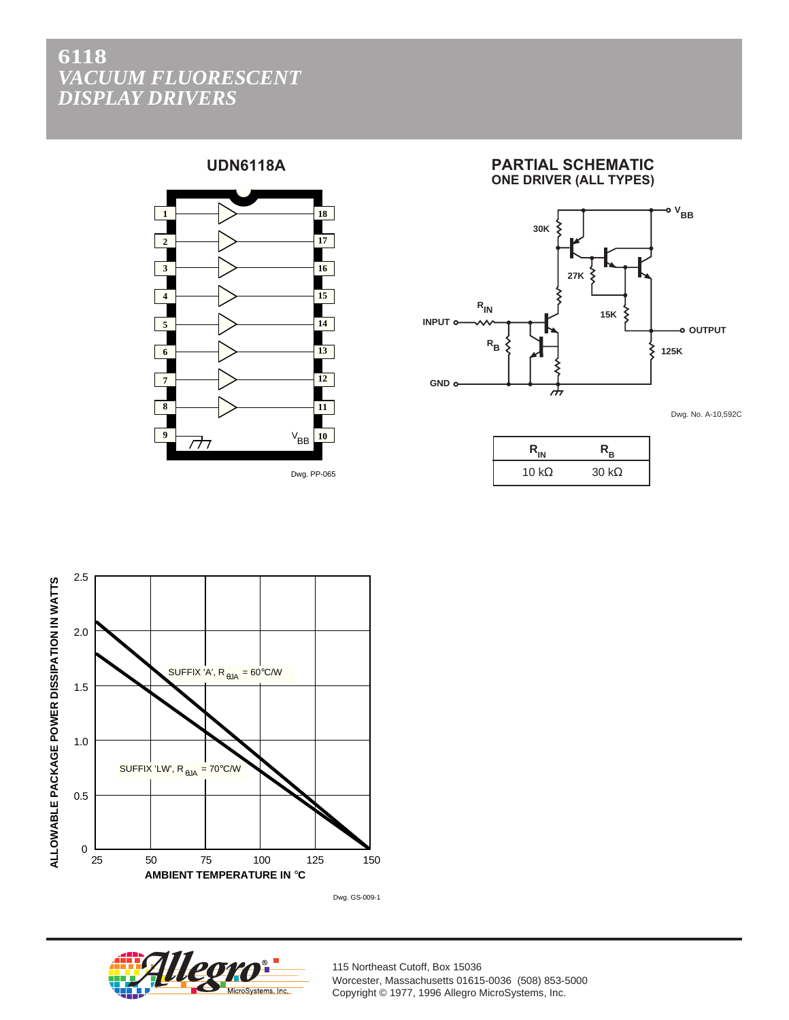

**UDN6118A**

Dwg. PP-065

**PARTIAL SCHEMATIC ONE DRIVER (ALL TYPES)**



Dwg. No. A-10,592C

| R.            | R            |  |  |  |
|---------------|--------------|--|--|--|
| 10 k $\Omega$ | $30 k\Omega$ |  |  |  |





115 Northeast Cutoff, Box 15036 Worcester, Massachusetts 01615-0036 (508) 853-5000 Copyright © 1977, 1996 Allegro MicroSystems, Inc.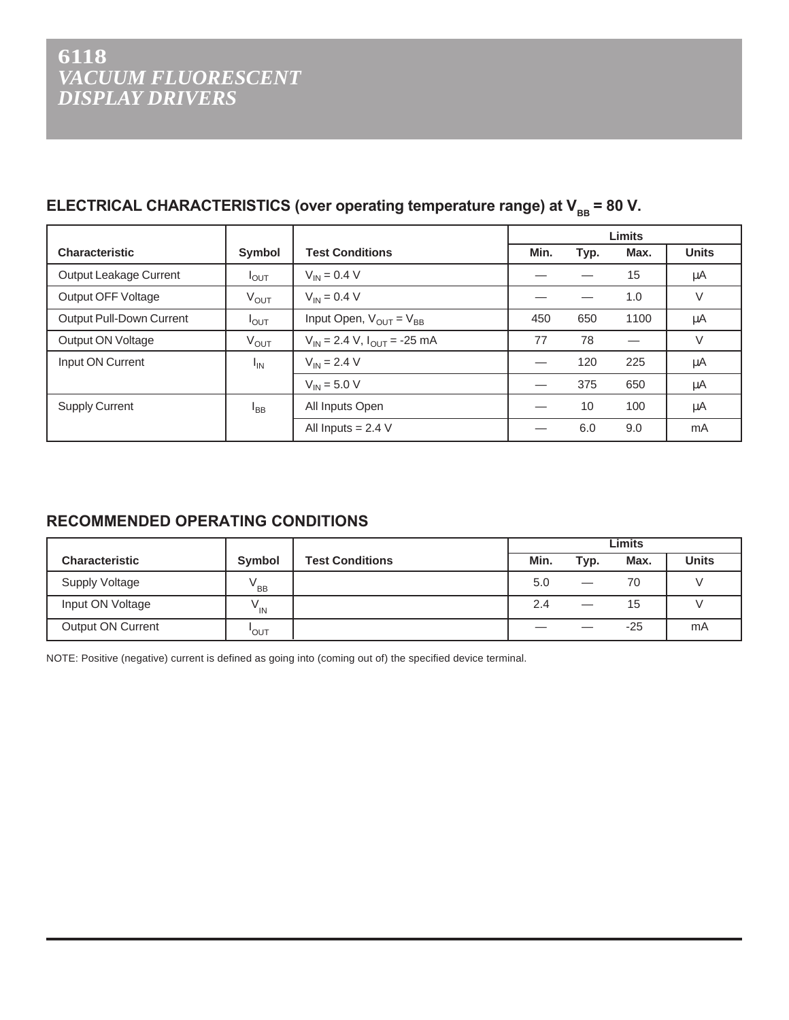|                          |                  |                                      | <b>Limits</b> |      |      |              |
|--------------------------|------------------|--------------------------------------|---------------|------|------|--------------|
| <b>Characteristic</b>    | Symbol           | <b>Test Conditions</b>               |               | Typ. | Max. | <b>Units</b> |
| Output Leakage Current   | $I_{\text{OUT}}$ | $V_{IN} = 0.4 V$                     |               |      | 15   | μA           |
| Output OFF Voltage       | $V_{OUT}$        | $V_{IN} = 0.4 V$                     |               |      | 1.0  | V            |
| Output Pull-Down Current | $I_{OUT}$        | Input Open, $V_{OUT} = V_{BB}$       | 450           | 650  | 1100 | μA           |
| Output ON Voltage        | $V_{OUT}$        | $V_{IN}$ = 2.4 V, $I_{OUT}$ = -25 mA | 77            | 78   |      | V            |
| Input ON Current         | $I_{IN}$         | $V_{IN}$ = 2.4 V                     |               | 120  | 225  | μA           |
|                          |                  | $V_{IN} = 5.0 V$                     |               | 375  | 650  | μA           |
| <b>Supply Current</b>    | $I_{BB}$         | All Inputs Open                      |               | 10   | 100  | μA           |
|                          |                  | All Inputs = $2.4$ V                 |               | 6.0  | 9.0  | mA           |

### **ELECTRICAL CHARACTERISTICS (over operating temperature range) at V<sub>BB</sub> = 80 V.**

#### **RECOMMENDED OPERATING CONDITIONS**

|                       |               |                        | Limits |      |       |              |
|-----------------------|---------------|------------------------|--------|------|-------|--------------|
| <b>Characteristic</b> | <b>Symbol</b> | <b>Test Conditions</b> | Min.   | Typ. | Max.  | <b>Units</b> |
| <b>Supply Voltage</b> | $V_{BB}$      |                        | 5.0    |      | 70    |              |
| Input ON Voltage      | ' IN          |                        | 2.4    |      | 15    |              |
| Output ON Current     | 'OUT          |                        |        |      | $-25$ | mA           |

NOTE: Positive (negative) current is defined as going into (coming out of) the specified device terminal.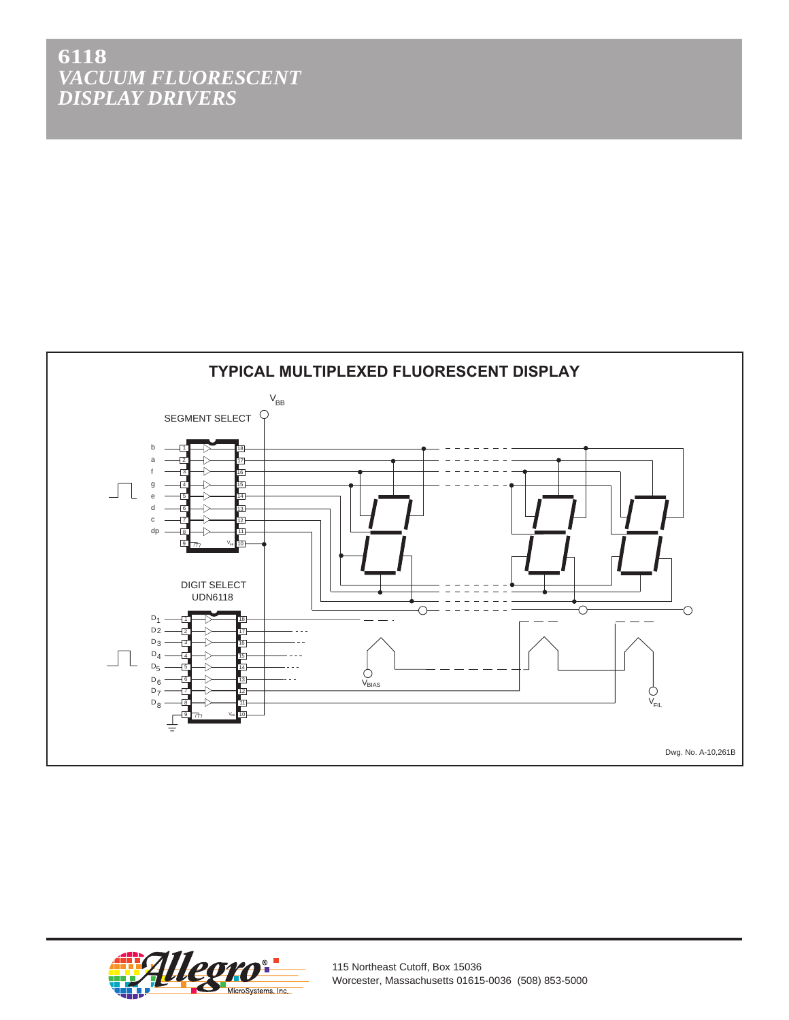

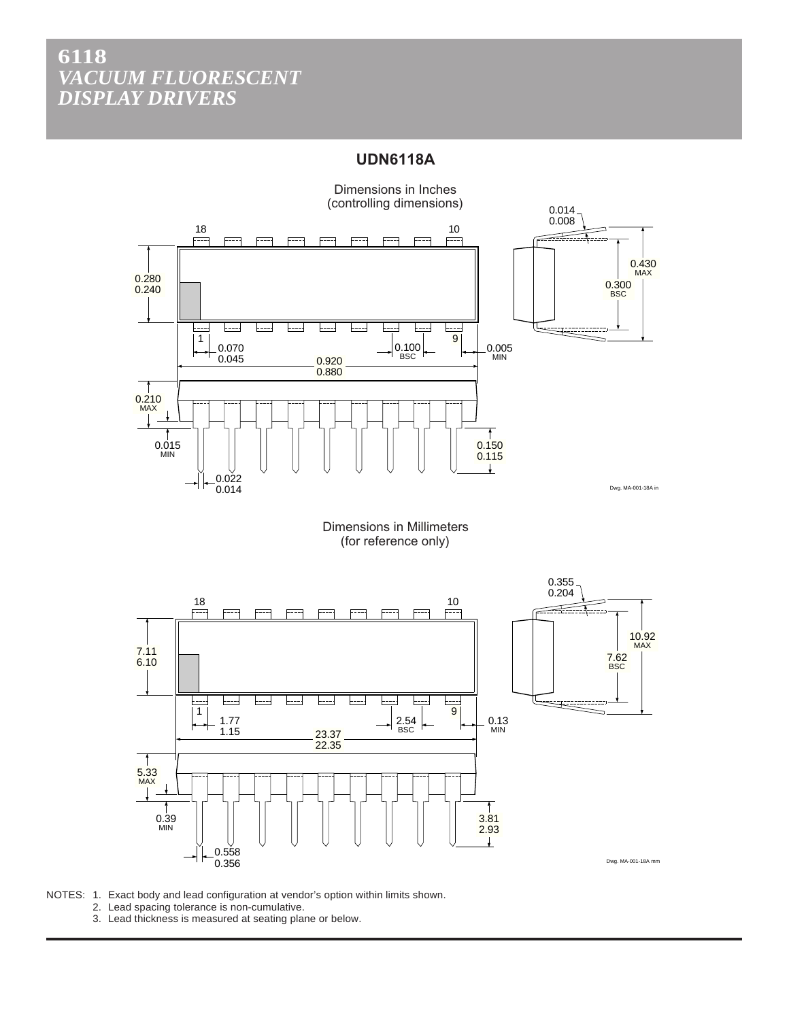#### **UDN6118A**



Dimensions in Inches

Dimensions in Millimeters (for reference only)



- NOTES: 1. Exact body and lead configuration at vendor's option within limits shown.
	- 2. Lead spacing tolerance is non-cumulative.
		- 3. Lead thickness is measured at seating plane or below.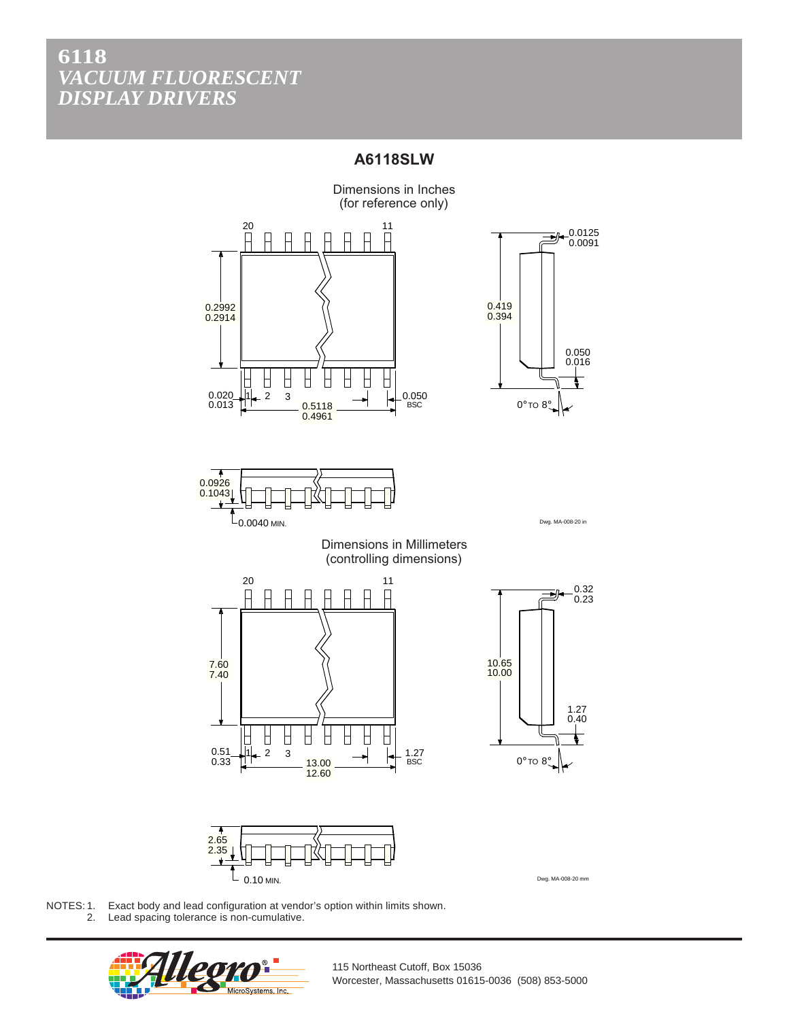#### **A6118SLW**



NOTES: 1. Exact body and lead configuration at vendor's option within limits shown.

2. Lead spacing tolerance is non-cumulative.



115 Northeast Cutoff, Box 15036 Worcester, Massachusetts 01615-0036 (508) 853-5000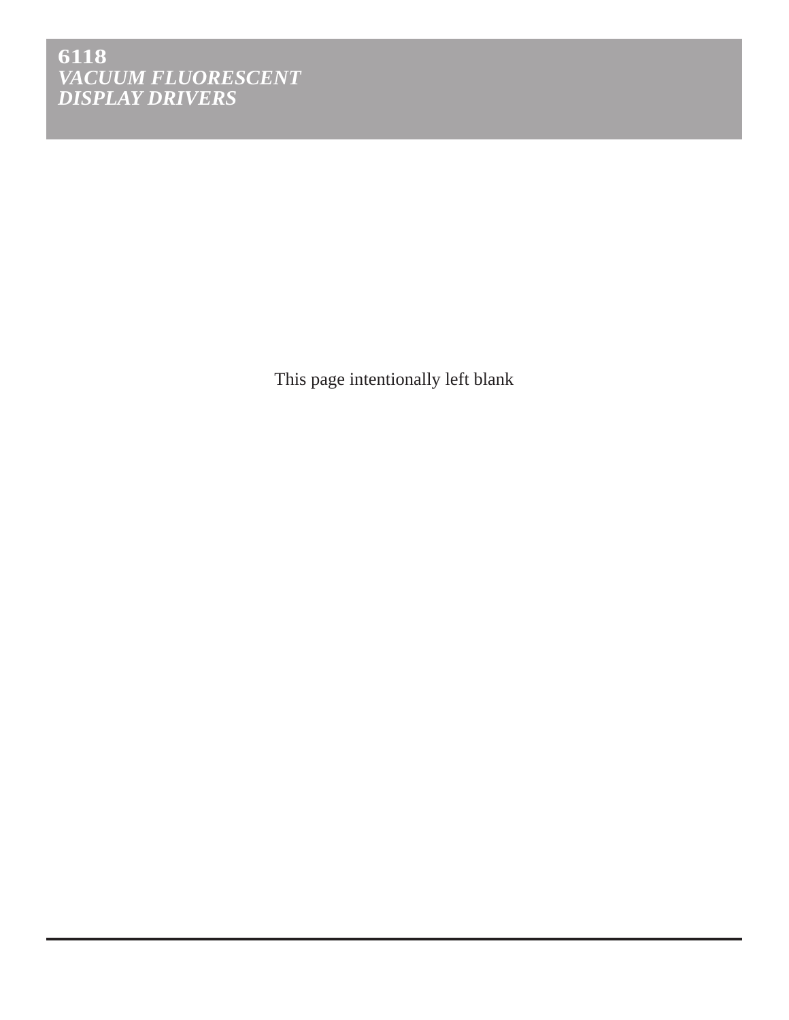This page intentionally left blank